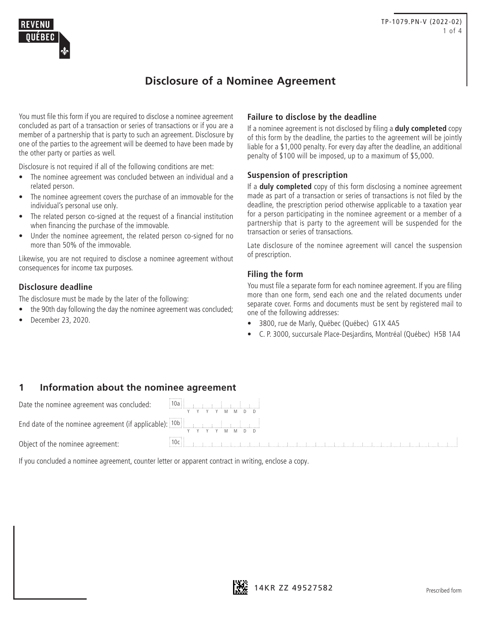

# **Disclosure of a Nominee Agreement**

You must file this form if you are required to disclose a nominee agreement concluded as part of a transaction or series of transactions or if you are a member of a partnership that is party to such an agreement. Disclosure by one of the parties to the agreement will be deemed to have been made by the other party or parties as well.

Disclosure is not required if all of the following conditions are met:

- The nominee agreement was concluded between an individual and a related person.
- The nominee agreement covers the purchase of an immovable for the individual's personal use only.
- The related person co-signed at the request of a financial institution when financing the purchase of the immovable.
- Under the nominee agreement, the related person co-signed for no more than 50% of the immovable.

Likewise, you are not required to disclose a nominee agreement without consequences for income tax purposes.

### **Disclosure deadline**

The disclosure must be made by the later of the following:

- the 90th day following the day the nominee agreement was concluded;
- December 23, 2020.

#### **Failure to disclose by the deadline**

If a nominee agreement is not disclosed by filing a **duly completed** copy of this form by the deadline, the parties to the agreement will be jointly liable for a \$1,000 penalty. For every day after the deadline, an additional penalty of \$100 will be imposed, up to a maximum of \$5,000.

#### **Suspension of prescription**

If a **duly completed** copy of this form disclosing a nominee agreement made as part of a transaction or series of transactions is not filed by the deadline, the prescription period otherwise applicable to a taxation year for a person participating in the nominee agreement or a member of a partnership that is party to the agreement will be suspended for the transaction or series of transactions.

Late disclosure of the nominee agreement will cancel the suspension of prescription.

### **Filing the form**

You must file a separate form for each nominee agreement. If you are filing more than one form, send each one and the related documents under separate cover. Forms and documents must be sent by registered mail to one of the following addresses:

• 3800, rue de Marly, Québec (Québec) G1X 4A5

• C. P. 3000, succursale Place-Desjardins, Montréal (Québec) H5B 1A4

### **1 Information about the nominee agreement**

Date the nominee agreement was concluded:

End date of the nominee agreement (if applicable): 10b

Object of the nominee agreement: 10c

If you concluded a nominee agreement, counter letter or apparent contract in writing, enclose a copy.



Y Y Y Y M M D D

السلسلسلسلسلسلا

Y Y Y Y M M D D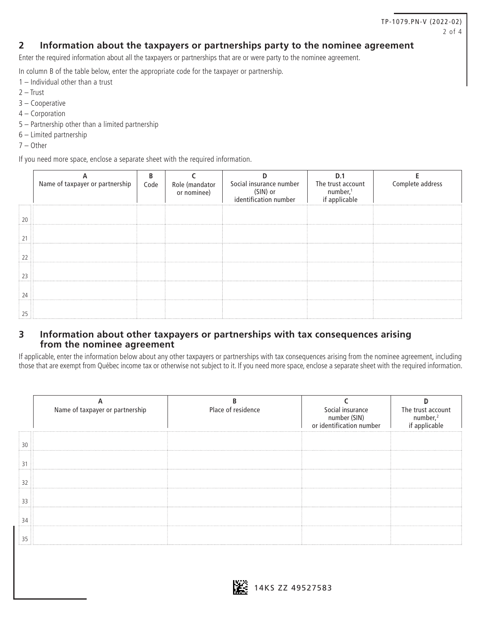### **2 Information about the taxpayers or partnerships party to the nominee agreement**

Enter the required information about all the taxpayers or partnerships that are or were party to the nominee agreement.

In column B of the table below, enter the appropriate code for the taxpayer or partnership.

- 1 Individual other than a trust
- 2 Trust
- 3 Cooperative
- 4 Corporation
- 5 Partnership other than a limited partnership
- 6 Limited partnership
- 7 Other

If you need more space, enclose a separate sheet with the required information.

| Name of taxpayer or partnership | Code | Role (mandator<br>or nominee) | Social insurance number<br>(SIN) or<br>identification number | The trust account<br>number, <sup>1</sup><br>if applicable | Complete address |
|---------------------------------|------|-------------------------------|--------------------------------------------------------------|------------------------------------------------------------|------------------|
|                                 |      |                               |                                                              |                                                            |                  |
|                                 |      |                               |                                                              |                                                            |                  |
|                                 |      |                               |                                                              |                                                            |                  |
|                                 |      |                               |                                                              |                                                            |                  |
|                                 |      |                               |                                                              |                                                            |                  |
|                                 |      |                               |                                                              |                                                            |                  |

## **3 Information about other taxpayers or partnerships with tax consequences arising from the nominee agreement**

If applicable, enter the information below about any other taxpayers or partnerships with tax consequences arising from the nominee agreement, including those that are exempt from Québec income tax or otherwise not subject to it. If you need more space, enclose a separate sheet with the required information.

| Name of taxpayer or partnership | Place of residence | Social insurance<br>number (SIN)<br>or identification number | The trust account<br>number, <sup>2</sup><br>if applicable |
|---------------------------------|--------------------|--------------------------------------------------------------|------------------------------------------------------------|
|                                 |                    |                                                              |                                                            |
|                                 |                    |                                                              |                                                            |
|                                 |                    |                                                              |                                                            |
|                                 |                    |                                                              |                                                            |
|                                 |                    |                                                              |                                                            |
|                                 |                    |                                                              |                                                            |

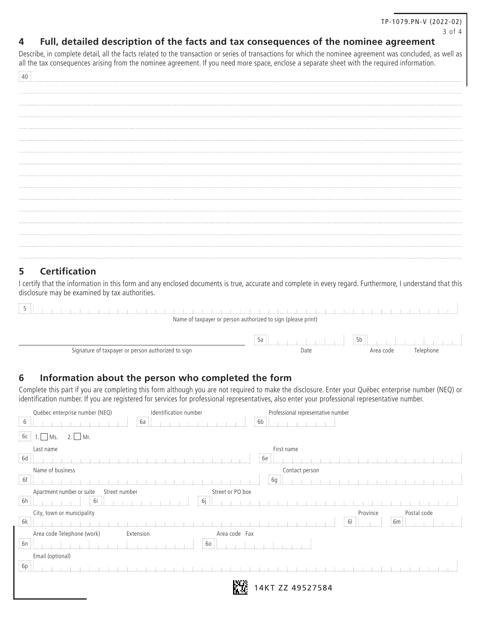## **4 Full, detailed description of the facts and tax consequences of the nominee agreement**

Describe, in complete detail, all the facts related to the transaction or series of transactions for which the nominee agreement was concluded, as well as all the tax consequences arising from the nominee agreement. If you need more space, enclose a separate sheet with the required information.

## **5 Certification**

promoti

I certify that the information in this form and any enclosed documents is true, accurate and complete in every regard. Furthermore, I understand that this disclosure may be examined by tax authorities.

| .                                                            |      |                                |           |  |  |  |  |
|--------------------------------------------------------------|------|--------------------------------|-----------|--|--|--|--|
| Name of taxpayer or person authorized to sign (please print) |      |                                |           |  |  |  |  |
|                                                              | DC.  | $\frac{1}{2}$ 5b $\frac{1}{2}$ |           |  |  |  |  |
| Signature of taxpayer or person authorized to sign           | Date | Area code                      | Telephone |  |  |  |  |

## **6 Information about the person who completed the form**

Complete this part if you are completing this form although you are not required to make the disclosure. Enter your Québec enterprise number (NEQ) or identification number. If you are registered for services for professional representatives, also enter your professional representative number.

|                                  | Québec enterprise number (NEQ)                                                                        | Identification number<br>          | Professional representative number                                                                                                                                                                                                   |                      |                                |  |
|----------------------------------|-------------------------------------------------------------------------------------------------------|------------------------------------|--------------------------------------------------------------------------------------------------------------------------------------------------------------------------------------------------------------------------------------|----------------------|--------------------------------|--|
| <b>r</b> omin<br>$\frac{1}{2}$ 6 |                                                                                                       | 6a                                 | 6b                                                                                                                                                                                                                                   |                      |                                |  |
| 6c                               | $2.$ Mr.<br>Ms.                                                                                       |                                    |                                                                                                                                                                                                                                      |                      |                                |  |
|                                  | Last name                                                                                             |                                    | First name                                                                                                                                                                                                                           |                      |                                |  |
| 6d                               |                                                                                                       |                                    | бе<br>ほうほうほうほうほうほ                                                                                                                                                                                                                    |                      |                                |  |
| $\cdots \cdots \cdots \cdots$    | Name of business                                                                                      |                                    | Contact person<br>$\tau^{11111111}\tau$                                                                                                                                                                                              |                      |                                |  |
| 6f                               |                                                                                                       |                                    | 6g                                                                                                                                                                                                                                   |                      |                                |  |
|                                  | Apartment number or suite St<br>Street number                                                         | Street or PO box                   |                                                                                                                                                                                                                                      |                      |                                |  |
| $\sqrt{6h}$                      | and and a                                                                                             | 6j                                 | <b>The contract of the contract of the contract of the contract of the contract of the contract of the contract of the contract of the contract of the contract of the contract of the contract of the contract of the contract </b> |                      |                                |  |
|                                  | $City,$ town or municipality<br>$\begin{array}{ c c c }\n\hline\n6k & . & . & .\n\hline\n\end{array}$ |                                    |                                                                                                                                                                                                                                      | Province             | Postal code<br>الواود والمحمود |  |
|                                  |                                                                                                       | .                                  |                                                                                                                                                                                                                                      | $\overline{6}$<br>61 | 6m                             |  |
|                                  | Area code Telephone (work)                                                                            | Extension<br>Area code Fax         |                                                                                                                                                                                                                                      |                      |                                |  |
| $\sqrt{\frac{2}{1}}$             |                                                                                                       | $\begin{bmatrix} 60 \end{bmatrix}$ |                                                                                                                                                                                                                                      |                      |                                |  |
|                                  | Email (optional)                                                                                      |                                    |                                                                                                                                                                                                                                      |                      |                                |  |
| $\boxed{6p}$                     |                                                                                                       |                                    |                                                                                                                                                                                                                                      |                      |                                |  |
|                                  |                                                                                                       |                                    |                                                                                                                                                                                                                                      |                      |                                |  |
|                                  |                                                                                                       |                                    | 14KT ZZ 49527584                                                                                                                                                                                                                     |                      |                                |  |
|                                  |                                                                                                       |                                    |                                                                                                                                                                                                                                      |                      |                                |  |